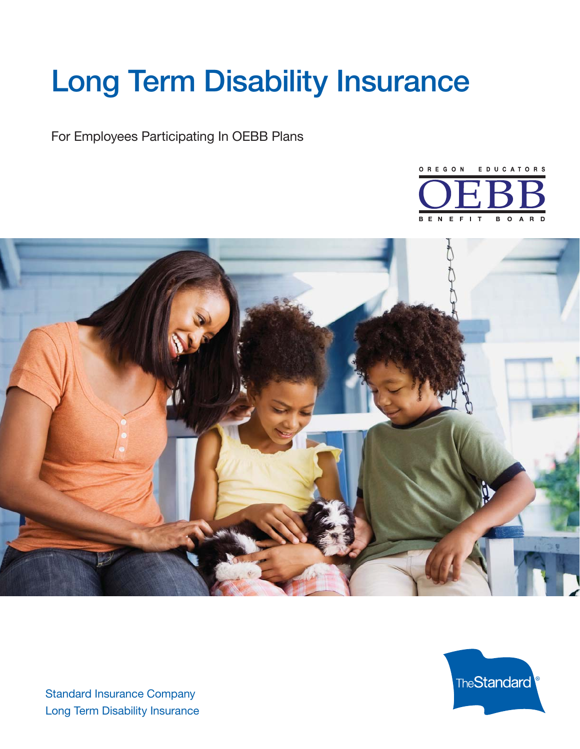# **Long Term Disability Insurance**

For Employees Participating In OEBB Plans







Standard Insurance Company Long Term Disability Insurance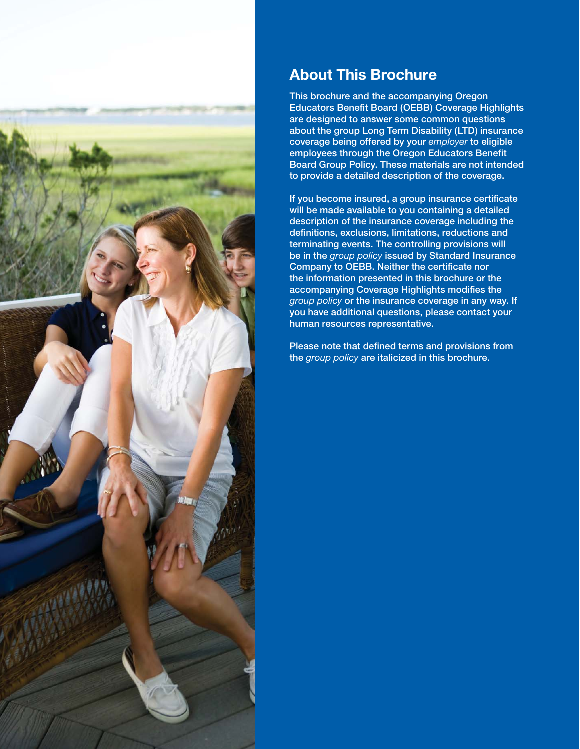

# **About This Brochure**

**This brochure and the accompanying Oregon Educators Benefit Board (OEBB) Coverage Highlights are designed to answer some common questions about the group Long Term Disability (LTD) insurance coverage being offered by your** *employer* **to eligible**  employees through the Oregon Educators Benefit **Board Group Policy. These materials are not intended to provide a detailed description of the coverage.** 

If you become insured, a group insurance certificate **will be made available to you containing a detailed description of the insurance coverage including the defi nitions, exclusions, limitations, reductions and terminating events. The controlling provisions will be in the** *group policy* **issued by Standard Insurance Company to OEBB. Neither the certificate nor the information presented in this brochure or the**  accompanying Coverage Highlights modifies the *group policy* **or the insurance coverage in any way. If you have additional questions, please contact your human resources representative.**

Please note that defined terms and provisions from **the** *group policy* **are italicized in this brochure.**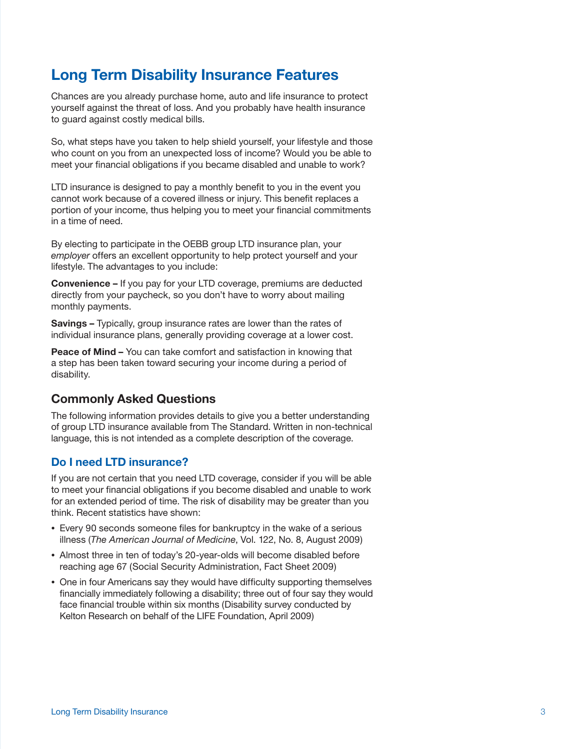# **Long Term Disability Insurance Features**

Chances are you already purchase home, auto and life insurance to protect yourself against the threat of loss. And you probably have health insurance to guard against costly medical bills.

So, what steps have you taken to help shield yourself, your lifestyle and those who count on you from an unexpected loss of income? Would you be able to meet your financial obligations if you became disabled and unable to work?

LTD insurance is designed to pay a monthly benefit to you in the event you cannot work because of a covered illness or injury. This benefit replaces a portion of your income, thus helping you to meet your financial commitments in a time of need.

By electing to participate in the OEBB group LTD insurance plan, your *employer* offers an excellent opportunity to help protect yourself and your lifestyle. The advantages to you include:

**Convenience –** If you pay for your LTD coverage, premiums are deducted directly from your paycheck, so you don't have to worry about mailing monthly payments.

**Savings –** Typically, group insurance rates are lower than the rates of individual insurance plans, generally providing coverage at a lower cost.

**Peace of Mind –** You can take comfort and satisfaction in knowing that a step has been taken toward securing your income during a period of disability.

# **Commonly Asked Questions**

The following information provides details to give you a better understanding of group LTD insurance available from The Standard. Written in non-technical language, this is not intended as a complete description of the coverage.

# **Do I need LTD insurance?**

If you are not certain that you need LTD coverage, consider if you will be able to meet your financial obligations if you become disabled and unable to work for an extended period of time. The risk of disability may be greater than you think. Recent statistics have shown:

- Every 90 seconds someone files for bankruptcy in the wake of a serious illness (*The American Journal of Medicine*, Vol. 122, No. 8, August 2009)
- Almost three in ten of today's 20-year-olds will become disabled before reaching age 67 (Social Security Administration, Fact Sheet 2009)
- One in four Americans say they would have difficulty supporting themselves financially immediately following a disability; three out of four say they would face financial trouble within six months (Disability survey conducted by Kelton Research on behalf of the LIFE Foundation, April 2009)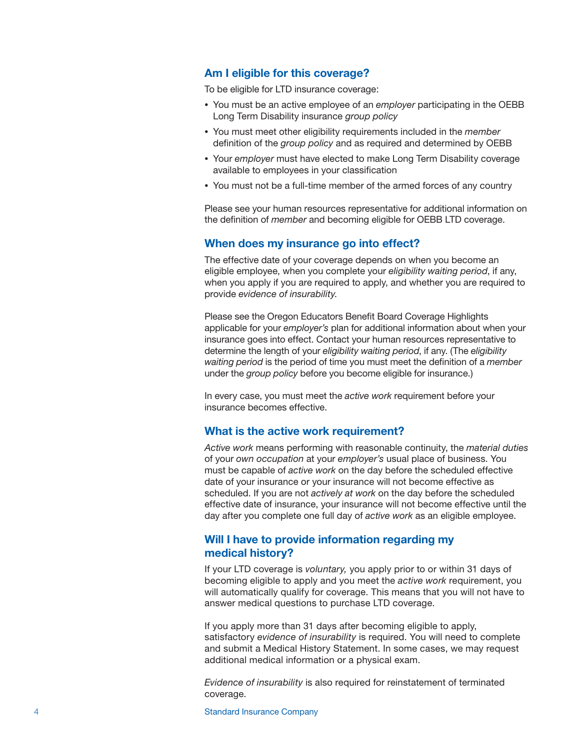#### **Am I eligible for this coverage?**

To be eligible for LTD insurance coverage:

- You must be an active employee of an *employer* participating in the OEBB Long Term Disability insurance *group policy*
- You must meet other eligibility requirements included in the *member* definition of the *group policy* and as required and determined by OEBB
- Your *employer* must have elected to make Long Term Disability coverage available to employees in your classification
- You must not be a full-time member of the armed forces of any country

Please see your human resources representative for additional information on the definition of *member* and becoming eligible for OEBB LTD coverage.

#### **When does my insurance go into effect?**

The effective date of your coverage depends on when you become an eligible employee, when you complete your *eligibility waiting period*, if any, when you apply if you are required to apply, and whether you are required to provide *evidence of insurability*.

Please see the Oregon Educators Benefit Board Coverage Highlights applicable for your *employer's* plan for additional information about when your insurance goes into effect. Contact your human resources representative to determine the length of your *eligibility waiting period*, if any. (The *eligibility waiting period* is the period of time you must meet the definition of a *member* under the *group policy* before you become eligible for insurance.)

In every case, you must meet the *active work* requirement before your insurance becomes effective.

#### **What is the active work requirement?**

*Active work* means performing with reasonable continuity, the *material duties*  of your *own occupation* at your *employer's* usual place of business. You must be capable of *active work* on the day before the scheduled effective date of your insurance or your insurance will not become effective as scheduled. If you are not *actively at work* on the day before the scheduled effective date of insurance, your insurance will not become effective until the day after you complete one full day of *active work* as an eligible employee.

#### **Will I have to provide information regarding my medical history?**

If your LTD coverage is *voluntary,* you apply prior to or within 31 days of becoming eligible to apply and you meet the *active work* requirement, you will automatically qualify for coverage. This means that you will not have to answer medical questions to purchase LTD coverage.

If you apply more than 31 days after becoming eligible to apply, satisfactory *evidence of insurability* is required. You will need to complete and submit a Medical History Statement. In some cases, we may request additional medical information or a physical exam.

*Evidence of insurability* is also required for reinstatement of terminated coverage.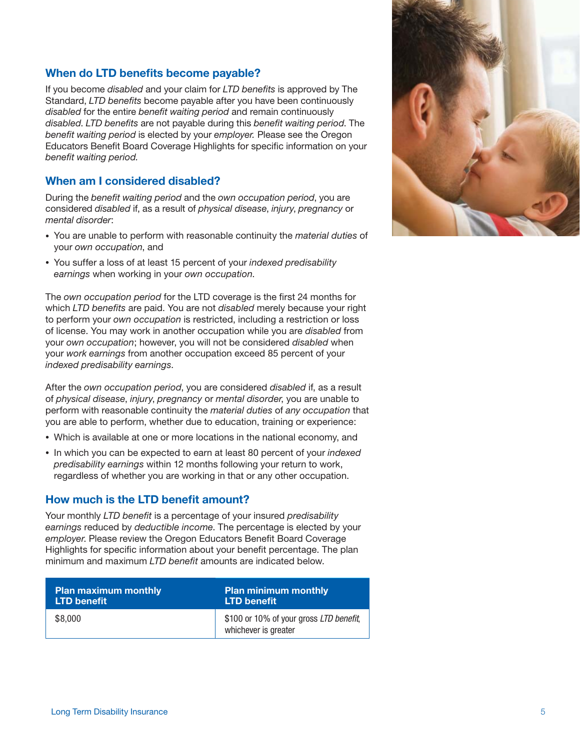# **When do LTD benefits become payable?**

If you become *disabled* and your claim for *LTD benefi ts* is approved by The Standard, *LTD benefits* become payable after you have been continuously *disabled* for the entire *benefit waiting period* and remain continuously *disabled. LTD benefits* are not payable during this *benefit waiting period*. The benefit waiting period is elected by your *employer*. Please see the Oregon Educators Benefit Board Coverage Highlights for specific information on your benefit waiting period.

## **When am I considered disabled?**

During the *benefit waiting period* and the *own occupation period*, you are considered *disabled* if, as a result of *physical disease*, *injury*, *pregnancy* or *mental disorder*:

- You are unable to perform with reasonable continuity the *material duties* of your *own occupation*, and
- You suffer a loss of at least 15 percent of your *indexed predisability earnings* when working in your *own occupation*.

The *own occupation period* for the LTD coverage is the first 24 months for which *LTD benefits* are paid. You are not *disabled* merely because your right to perform your *own occupation* is restricted, including a restriction or loss of license. You may work in another occupation while you are *disabled* from your *own occupation*; however, you will not be considered *disabled* when your *work earnings* from another occupation exceed 85 percent of your *indexed predisability earnings*.

After the *own occupation period*, you are considered *disabled* if, as a result of *physical disease*, *injury*, *pregnancy* or *mental disorder*, you are unable to perform with reasonable continuity the *material duties* of *any occupation* that you are able to perform, whether due to education, training or experience:

- Which is available at one or more locations in the national economy, and
- In which you can be expected to earn at least 80 percent of your *indexed predisability earnings* within 12 months following your return to work, regardless of whether you are working in that or any other occupation.

# **How much is the LTD benefit amount?**

Your monthly *LTD benefit* is a percentage of your insured *predisability earnings* reduced by *deductible income*. The percentage is elected by your *employer*. Please review the Oregon Educators Benefit Board Coverage Highlights for specific information about your benefit percentage. The plan minimum and maximum *LTD benefit* amounts are indicated below.

| <b>Plan maximum monthly</b> | <b>Plan minimum monthly</b>                                     |
|-----------------------------|-----------------------------------------------------------------|
| LTD benefit                 | LTD benefit                                                     |
| \$8,000                     | \$100 or 10% of your gross LTD benefit,<br>whichever is greater |

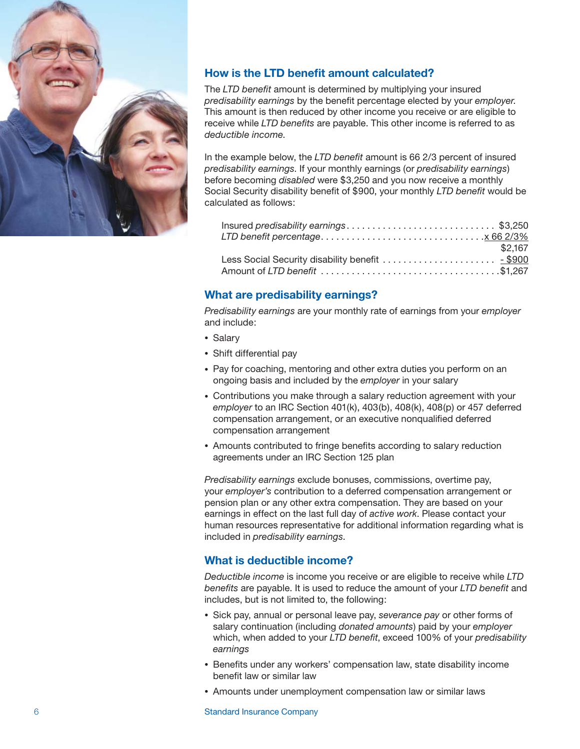

# **How is the LTD benefit amount calculated?**

The *LTD benefit* amount is determined by multiplying your insured *predisability earnings* by the benefi t percentage elected by your *employer*. This amount is then reduced by other income you receive or are eligible to receive while *LTD benefits* are payable. This other income is referred to as *deductible income*.

In the example below, the *LTD benefit* amount is 66 2/3 percent of insured *predisability earnings*. If your monthly earnings (or *predisability earnings*) before becoming *disabled* were \$3,250 and you now receive a monthly Social Security disability benefit of \$900, your monthly *LTD benefit* would be calculated as follows:

| Insured predisability earnings\$3,250         |         |
|-----------------------------------------------|---------|
|                                               |         |
|                                               | \$2,167 |
| Less Social Security disability benefit  5900 |         |
|                                               |         |

# **What are predisability earnings?**

*Predisability earnings* are your monthly rate of earnings from your *employer* and include:

- Salary
- Shift differential pay
- Pay for coaching, mentoring and other extra duties you perform on an ongoing basis and included by the *employer* in your salary
- Contributions you make through a salary reduction agreement with your *employer* to an IRC Section 401(k), 403(b), 408(k), 408(p) or 457 deferred compensation arrangement, or an executive nonqualified deferred compensation arrangement
- Amounts contributed to fringe benefits according to salary reduction agreements under an IRC Section 125 plan

*Predisability earnings* exclude bonuses, commissions, overtime pay, your *employer's* contribution to a deferred compensation arrangement or pension plan or any other extra compensation. They are based on your earnings in effect on the last full day of *active work*. Please contact your human resources representative for additional information regarding what is included in *predisability earnings*.

# **What is deductible income?**

*Deductible income* is income you receive or are eligible to receive while *LTD benefits* are payable. It is used to reduce the amount of your *LTD benefit* and includes, but is not limited to, the following:

- Sick pay, annual or personal leave pay, *severance pay* or other forms of salary continuation (including *donated amounts*) paid by your *employer* which, when added to your *LTD benefit*, exceed 100% of your *predisability earnings*
- Benefits under any workers' compensation law, state disability income benefit law or similar law
- Amounts under unemployment compensation law or similar laws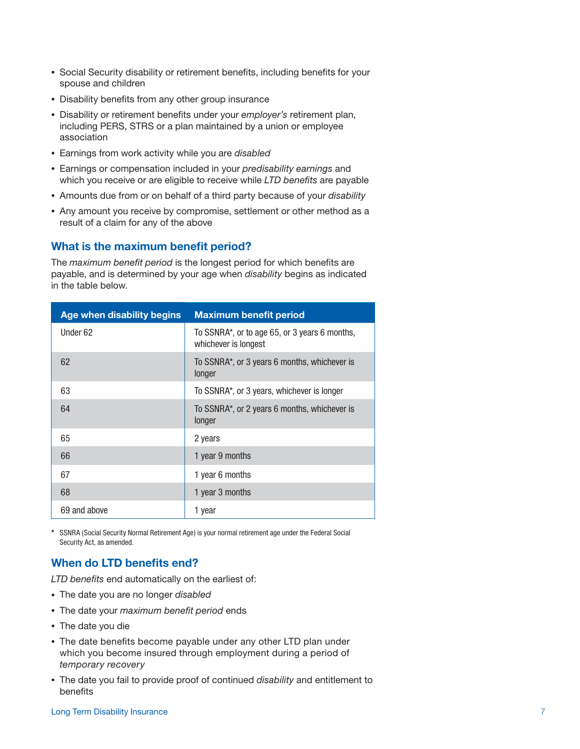- Social Security disability or retirement benefits, including benefits for your spouse and children
- Disability benefits from any other group insurance
- Disability or retirement benefits under your *employer's* retirement plan, including PERS, STRS or a plan maintained by a union or employee association
- Earnings from work activity while you are *disabled*
- Earnings or compensation included in your *predisability earnings* and which you receive or are eligible to receive while *LTD benefits* are payable
- Amounts due from or on behalf of a third party because of your *disability*
- Any amount you receive by compromise, settlement or other method as a result of a claim for any of the above

### **What is the maximum benefit period?**

The *maximum benefit period* is the longest period for which benefits are payable, and is determined by your age when *disability* begins as indicated in the table below.

| Age when disability begins | <b>Maximum benefit period</b>                                         |
|----------------------------|-----------------------------------------------------------------------|
| Under 62                   | To SSNRA*, or to age 65, or 3 years 6 months,<br>whichever is longest |
| 62                         | To SSNRA <sup>*</sup> , or 3 years 6 months, whichever is<br>longer   |
| 63                         | To SSNRA*, or 3 years, whichever is longer                            |
| 64                         | To SSNRA*, or 2 years 6 months, whichever is<br>longer                |
| 65                         | 2 years                                                               |
| 66                         | 1 year 9 months                                                       |
| 67                         | 1 year 6 months                                                       |
| 68                         | 1 year 3 months                                                       |
| 69 and above               | 1 year                                                                |

\* SSNRA (Social Security Normal Retirement Age) is your normal retirement age under the Federal Social Security Act, as amended.

# **When do LTD benefits end?**

*LTD benefits* end automatically on the earliest of:

- The date you are no longer *disabled*
- The date your *maximum benefit period* ends
- The date you die
- The date benefits become payable under any other LTD plan under which you become insured through employment during a period of *temporary recovery*
- The date you fail to provide proof of continued *disability* and entitlement to benefits

#### **Long Term Disability Insurance** 7 **7**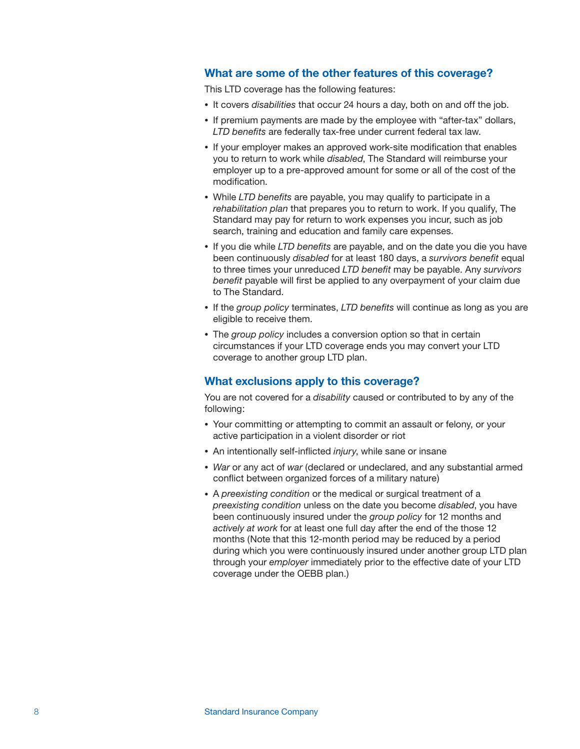# **What are some of the other features of this coverage?**

This LTD coverage has the following features:

- It covers *disabilities* that occur 24 hours a day, both on and off the job.
- If premium payments are made by the employee with "after-tax" dollars, LTD benefits are federally tax-free under current federal tax law.
- If your employer makes an approved work-site modification that enables you to return to work while *disabled*, The Standard will reimburse your employer up to a pre-approved amount for some or all of the cost of the modification.
- While LTD benefits are payable, you may qualify to participate in a *rehabilitation plan* that prepares you to return to work. If you qualify, The Standard may pay for return to work expenses you incur, such as job search, training and education and family care expenses.
- If you die while *LTD benefits* are payable, and on the date you die you have been continuously *disabled* for at least 180 days, a *survivors benefit* equal to three times your unreduced *LTD benefit* may be payable. Any *survivors* benefit payable will first be applied to any overpayment of your claim due to The Standard.
- If the *group policy* terminates, *LTD benefits* will continue as long as you are eligible to receive them.
- The *group policy* includes a conversion option so that in certain circumstances if your LTD coverage ends you may convert your LTD coverage to another group LTD plan.

#### **What exclusions apply to this coverage?**

You are not covered for a *disability* caused or contributed to by any of the following:

- Your committing or attempting to commit an assault or felony, or your active participation in a violent disorder or riot
- An intentionally self-inflicted *injury*, while sane or insane
- *War* or any act of *war* (declared or undeclared, and any substantial armed conflict between organized forces of a military nature)
- A *preexisting condition* or the medical or surgical treatment of a *preexisting condition* unless on the date you become *disabled*, you have been continuously insured under the *group policy* for 12 months and *actively at work* for at least one full day after the end of the those 12 months (Note that this 12-month period may be reduced by a period during which you were continuously insured under another group LTD plan through your *employer* immediately prior to the effective date of your LTD coverage under the OEBB plan.)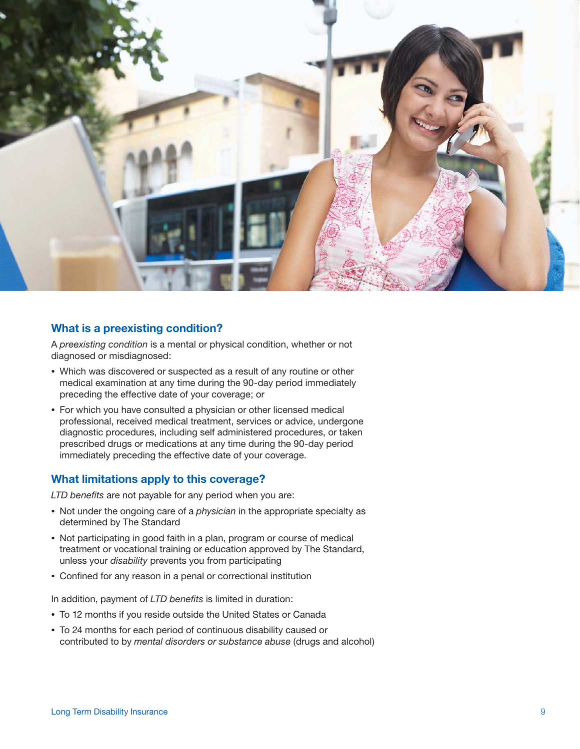

### **What is a preexisting condition?**

A *preexisting condition* is a mental or physical condition, whether or not diagnosed or misdiagnosed:

- Which was discovered or suspected as a result of any routine or other medical examination at any time during the 90-day period immediately preceding the effective date of your coverage; or
- For which you have consulted a physician or other licensed medical professional, received medical treatment, services or advice, undergone diagnostic procedures, including self administered procedures, or taken prescribed drugs or medications at any time during the 90-day period immediately preceding the effective date of your coverage.

# **What limitations apply to this coverage?**

*LTD benefits* are not payable for any period when you are:

- Not under the ongoing care of a *physician* in the appropriate specialty as determined by The Standard
- Not participating in good faith in a plan, program or course of medical treatment or vocational training or education approved by The Standard, unless your *disability* prevents you from participating
- Confined for any reason in a penal or correctional institution

In addition, payment of *LTD benefits* is limited in duration:

- To 12 months if you reside outside the United States or Canada
- To 24 months for each period of continuous disability caused or contributed to by *mental disorders or substance abuse* (drugs and alcohol)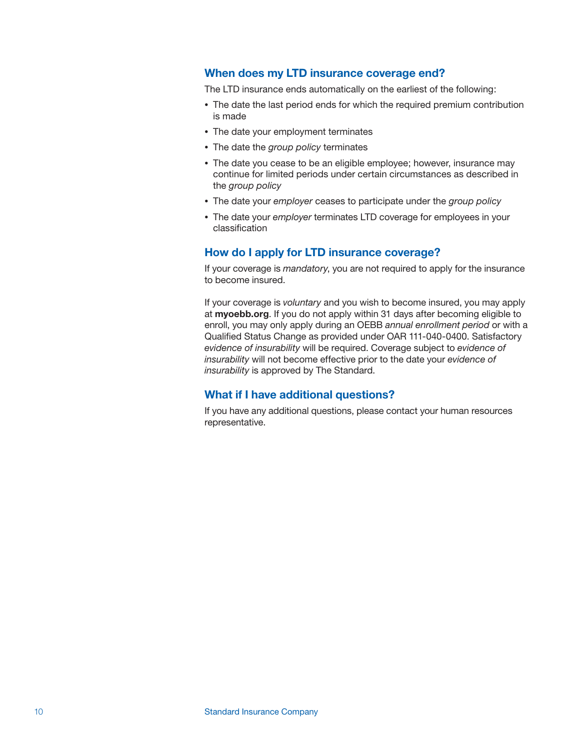#### **When does my LTD insurance coverage end?**

The LTD insurance ends automatically on the earliest of the following:

- The date the last period ends for which the required premium contribution is made
- The date your employment terminates
- The date the *group policy* terminates
- The date you cease to be an eligible employee; however, insurance may continue for limited periods under certain circumstances as described in the *group policy*
- The date your *employer* ceases to participate under the *group policy*
- The date your *employer* terminates LTD coverage for employees in your classification

#### **How do I apply for LTD insurance coverage?**

If your coverage is *mandatory*, you are not required to apply for the insurance to become insured.

If your coverage is *voluntary* and you wish to become insured, you may apply at **myoebb.org**. If you do not apply within 31 days after becoming eligible to enroll, you may only apply during an OEBB *annual enrollment period* or with a Qualified Status Change as provided under OAR 111-040-0400. Satisfactory *evidence of insurability* will be required. Coverage subject to *evidence of insurability* will not become effective prior to the date your *evidence of insurability* is approved by The Standard.

## **What if I have additional questions?**

If you have any additional questions, please contact your human resources representative.